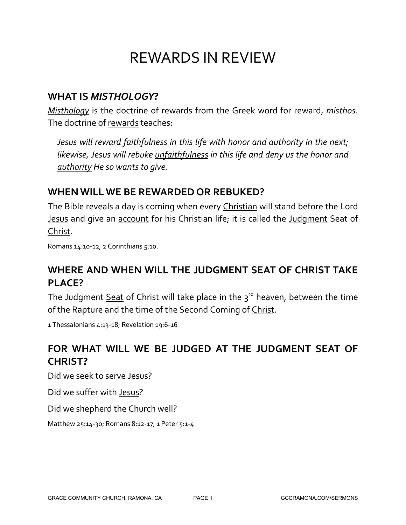# REWARDS IN REVIEW

#### **WHAT IS** *MISTHOLOGY***?**

*Misthology* is the doctrine of rewards from the Greek word for reward, *misthos*. The doctrine of rewards teaches:

*Jesus will reward faithfulness in this life with honor and authority in the next; likewise, Jesus will rebuke unfaithfulness in this life and deny us the honor and authority He so wants to give.*

## **WHEN WILL WE BE REWARDED OR REBUKED?**

The Bible reveals a day is coming when every Christian will stand before the Lord **Jesus and give an account for his Christian life; it is called the Judgment Seat of** Christ.

Romans 14:10-12; 2 Corinthians 5:10.

## **WHERE AND WHEN WILL THE JUDGMENT SEAT OF CHRIST TAKE PLACE?**

The Judgment  $Seat$  of Christ will take place in the  $3<sup>rd</sup>$  heaven, between the time</u> of the Rapture and the time of the Second Coming of Christ.

1 Thessalonians 4:13-18; Revelation 19:6-16

## **FOR WHAT WILL WE BE JUDGED AT THE JUDGMENT SEAT OF CHRIST?**

Did we seek to serve Jesus?

Did we suffer with Jesus?

Did we shepherd the Church well?

Matthew 25:14-30; Romans 8:12-17; 1 Peter 5:1-4